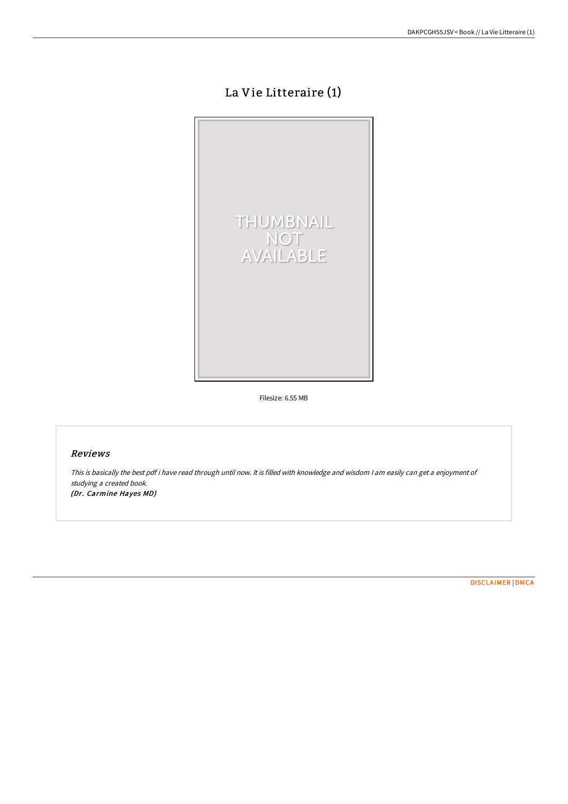# La Vie Litteraire (1)



Filesize: 6.55 MB

# Reviews

This is basically the best pdf i have read through until now. It is filled with knowledge and wisdom <sup>I</sup> am easily can get <sup>a</sup> enjoyment of studying <sup>a</sup> created book.

(Dr. Carmine Hayes MD)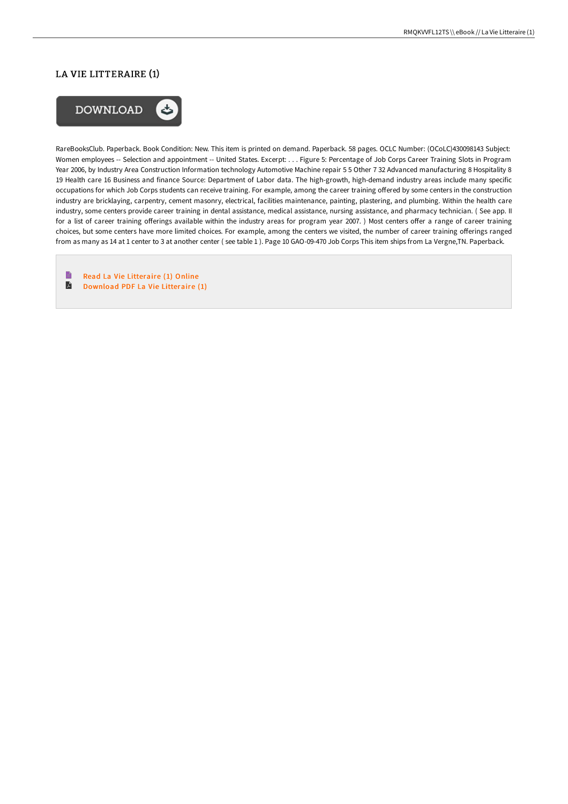# LA VIE LITTERAIRE (1)



RareBooksClub. Paperback. Book Condition: New. This item is printed on demand. Paperback. 58 pages. OCLC Number: (OCoLC)430098143 Subject: Women employees -- Selection and appointment -- United States. Excerpt: . . . Figure 5: Percentage of Job Corps Career Training Slots in Program Year 2006, by Industry Area Construction Information technology Automotive Machine repair 5 5 Other 7 32 Advanced manufacturing 8 Hospitality 8 19 Health care 16 Business and finance Source: Department of Labor data. The high-growth, high-demand industry areas include many specific occupations for which Job Corps students can receive training. For example, among the career training offered by some centers in the construction industry are bricklaying, carpentry, cement masonry, electrical, facilities maintenance, painting, plastering, and plumbing. Within the health care industry, some centers provide career training in dental assistance, medical assistance, nursing assistance, and pharmacy technician. ( See app. II for a list of career training offerings available within the industry areas for program year 2007.) Most centers offer a range of career training choices, but some centers have more limited choices. For example, among the centers we visited, the number of career training offerings ranged from as many as 14 at 1 center to 3 at another center ( see table 1 ). Page 10 GAO-09-470 Job Corps This item ships from La Vergne,TN. Paperback.

E Read La Vie [Litteraire](http://bookera.tech/la-vie-litteraire-1.html) (1) Online E [Download](http://bookera.tech/la-vie-litteraire-1.html) PDF La Vie Litteraire (1)